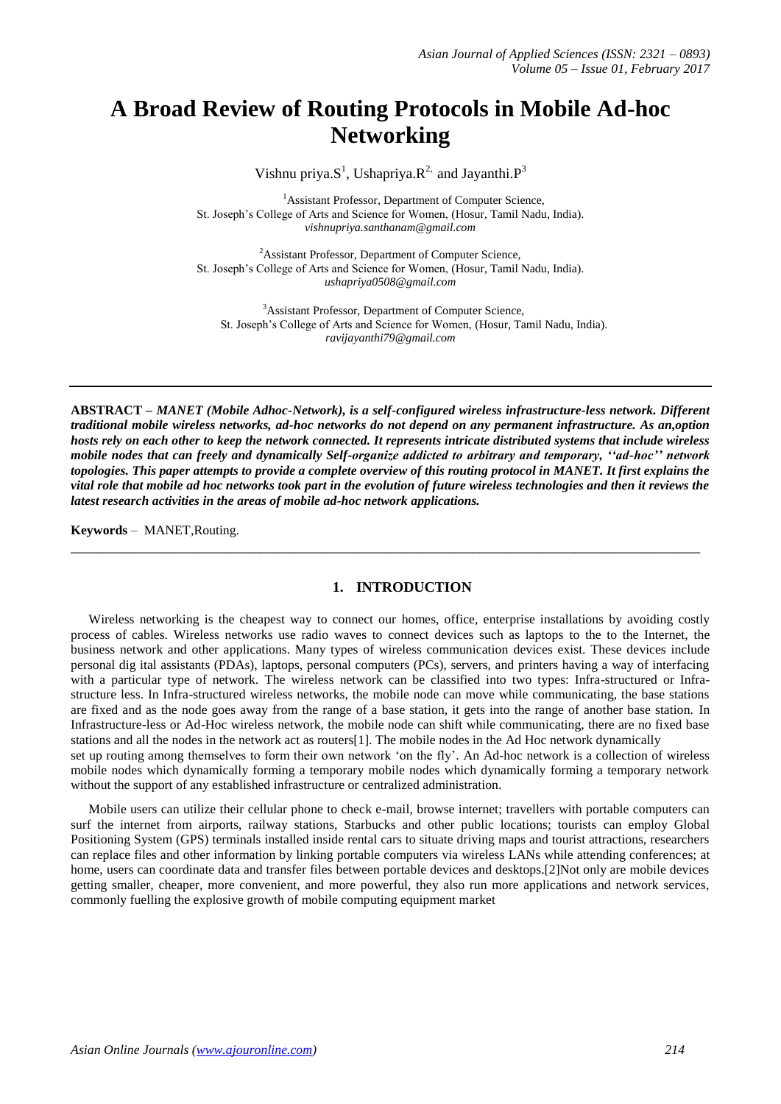# **A Broad Review of Routing Protocols in Mobile Ad-hoc Networking**

Vishnu priya. $S^1$ , Ushapriya. $R^2$  and Jayanthi. $P^3$ 

<sup>1</sup>Assistant Professor, Department of Computer Science, St. Joseph's College of Arts and Science for Women, (Hosur, Tamil Nadu, India). *[vishnupriya.santhanam@gmail.com](mailto:vishnupriya.santhanam@gmail.com)*

<sup>2</sup>Assistant Professor, Department of Computer Science, St. Joseph's College of Arts and Science for Women, (Hosur, Tamil Nadu, India). *ushapriya0508@gmail.com*

<sup>3</sup>Assistant Professor, Department of Computer Science, St. Joseph's College of Arts and Science for Women, (Hosur, Tamil Nadu, India). *ravijayanthi7[9@gmail.com](mailto:ushapriya0508@gmail.com)*

**ABSTRACT –** *MANET (Mobile Adhoc-Network), is a self-configured wireless infrastructure-less network. Different traditional mobile wireless networks, ad-hoc networks do not depend on any permanent infrastructure. As an,option hosts rely on each other to keep the network connected. It represents intricate distributed systems that include wireless mobile nodes that can freely and dynamically Self-organize addicted to arbitrary and temporary, ''ad-hoc'' network topologies. This paper attempts to provide a complete overview of this routing protocol in MANET. It first explains the vital role that mobile ad hoc networks took part in the evolution of future wireless technologies and then it reviews the latest research activities in the areas of mobile ad-hoc network applications.* 

**\_\_\_\_\_\_\_\_\_\_\_\_\_\_\_\_\_\_\_\_\_\_\_\_\_\_\_\_\_\_\_\_\_\_\_\_\_\_\_\_\_\_\_\_\_\_\_\_\_\_\_\_\_\_\_\_\_\_\_\_\_\_\_\_\_\_\_\_\_\_\_\_\_\_\_\_\_\_\_\_**

**Keywords** – MANET,Routing.

## **1. INTRODUCTION**

Wireless networking is the cheapest way to connect our homes, office, enterprise installations by avoiding costly process of cables. Wireless networks use radio waves to connect devices such as laptops to the to the Internet, the business network and other applications. Many types of wireless communication devices exist. These devices include personal dig ital assistants (PDAs), laptops, personal computers (PCs), servers, and printers having a way of interfacing with a particular type of network. The wireless network can be classified into two types: Infra-structured or Infrastructure less. In Infra-structured wireless networks, the mobile node can move while communicating, the base stations are fixed and as the node goes away from the range of a base station, it gets into the range of another base station. In Infrastructure-less or Ad-Hoc wireless network, the mobile node can shift while communicating, there are no fixed base stations and all the nodes in the network act as routers[1]. The mobile nodes in the Ad Hoc network dynamically set up routing among themselves to form their own network 'on the fly'. An Ad-hoc network is a collection of wireless mobile nodes which dynamically forming a temporary mobile nodes which dynamically forming a temporary network without the support of any established infrastructure or centralized administration.

Mobile users can utilize their cellular phone to check e-mail, browse internet; travellers with portable computers can surf the internet from airports, railway stations, Starbucks and other public locations; tourists can employ Global Positioning System (GPS) terminals installed inside rental cars to situate driving maps and tourist attractions, researchers can replace files and other information by linking portable computers via wireless LANs while attending conferences; at home, users can coordinate data and transfer files between portable devices and desktops.[2]Not only are mobile devices getting smaller, cheaper, more convenient, and more powerful, they also run more applications and network services, commonly fuelling the explosive growth of mobile computing equipment market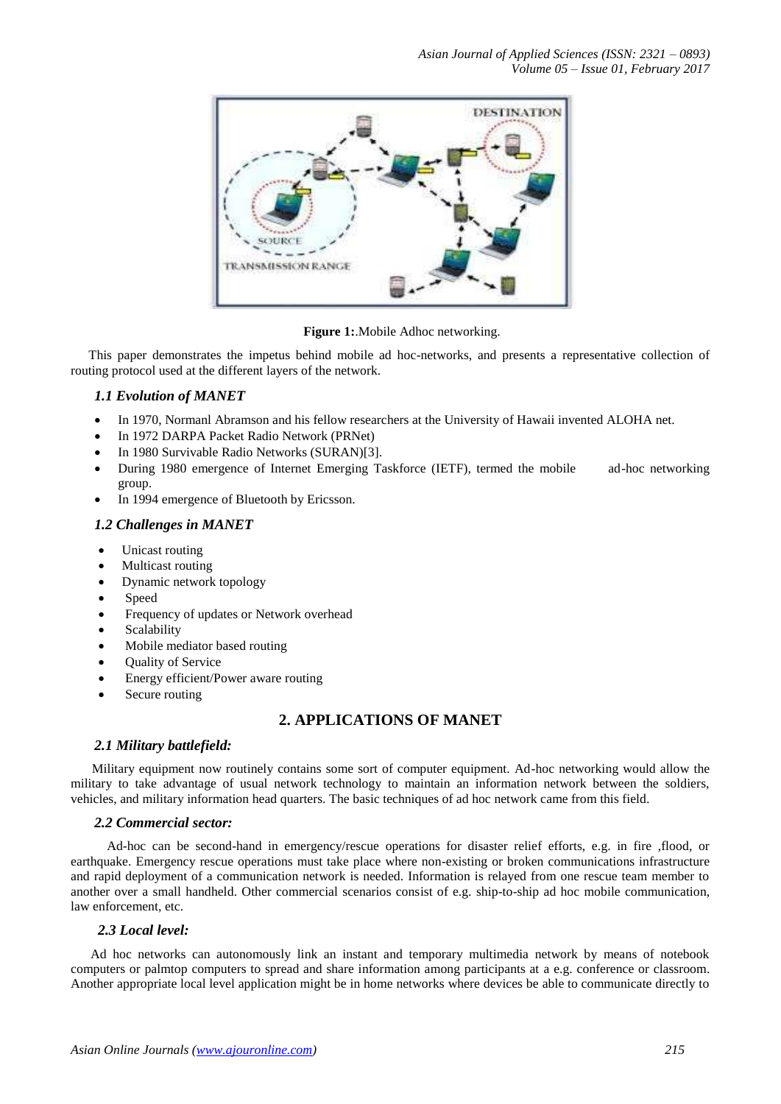

**Figure 1:**.Mobile Adhoc networking.

This paper demonstrates the impetus behind mobile ad hoc-networks, and presents a representative collection of routing protocol used at the different layers of the network.

## *1.1 Evolution of MANET*

- In 1970, Normanl Abramson and his fellow researchers at the University of Hawaii invented ALOHA net.
- In 1972 DARPA Packet Radio Network (PRNet)
- In 1980 Survivable Radio Networks (SURAN)[3].
- During 1980 emergence of Internet Emerging Taskforce (IETF), termed the mobile ad-hoc networking group.
- In 1994 emergence of Bluetooth by Ericsson.

## *1.2 Challenges in MANET*

- Unicast routing
- Multicast routing
- Dynamic network topology
- Speed
- Frequency of updates or Network overhead
- Scalability
- Mobile mediator based routing
- Quality of Service
- Energy efficient/Power aware routing
- Secure routing

# **2. APPLICATIONS OF MANET**

## *2.1 Military battlefield:*

Military equipment now routinely contains some sort of computer equipment. Ad-hoc networking would allow the military to take advantage of usual network technology to maintain an information network between the soldiers, vehicles, and military information head quarters. The basic techniques of ad hoc network came from this field.

## *2.2 Commercial sector:*

 Ad-hoc can be second-hand in emergency/rescue operations for disaster relief efforts, e.g. in fire ,flood, or earthquake. Emergency rescue operations must take place where non-existing or broken communications infrastructure and rapid deployment of a communication network is needed. Information is relayed from one rescue team member to another over a small handheld. Other commercial scenarios consist of e.g. ship-to-ship ad hoc mobile communication, law enforcement, etc.

## *2.3 Local level:*

 Ad hoc networks can autonomously link an instant and temporary multimedia network by means of notebook computers or palmtop computers to spread and share information among participants at a e.g. conference or classroom. Another appropriate local level application might be in home networks where devices be able to communicate directly to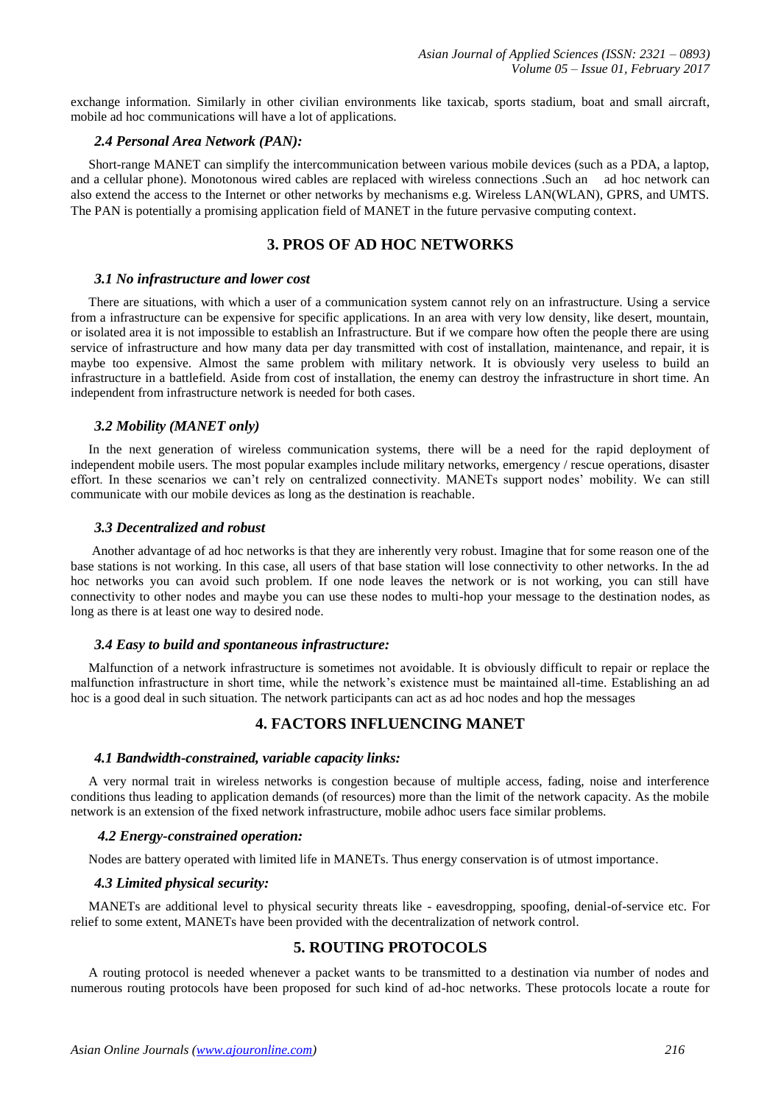exchange information. Similarly in other civilian environments like taxicab, sports stadium, boat and small aircraft, mobile ad hoc communications will have a lot of applications.

## *2.4 Personal Area Network (PAN):*

Short-range MANET can simplify the intercommunication between various mobile devices (such as a PDA, a laptop, and a cellular phone). Monotonous wired cables are replaced with wireless connections .Such an ad hoc network can also extend the access to the Internet or other networks by mechanisms e.g. Wireless LAN(WLAN), GPRS, and UMTS. The PAN is potentially a promising application field of MANET in the future pervasive computing context.

## **3. PROS OF AD HOC NETWORKS**

#### *3.1 No infrastructure and lower cost*

There are situations, with which a user of a communication system cannot rely on an infrastructure. Using a service from a infrastructure can be expensive for specific applications. In an area with very low density, like desert, mountain, or isolated area it is not impossible to establish an Infrastructure. But if we compare how often the people there are using service of infrastructure and how many data per day transmitted with cost of installation, maintenance, and repair, it is maybe too expensive. Almost the same problem with military network. It is obviously very useless to build an infrastructure in a battlefield. Aside from cost of installation, the enemy can destroy the infrastructure in short time. An independent from infrastructure network is needed for both cases.

#### *3.2 Mobility (MANET only)*

In the next generation of wireless communication systems, there will be a need for the rapid deployment of independent mobile users. The most popular examples include military networks, emergency / rescue operations, disaster effort. In these scenarios we can't rely on centralized connectivity. MANETs support nodes' mobility. We can still communicate with our mobile devices as long as the destination is reachable.

#### *3.3 Decentralized and robust*

Another advantage of ad hoc networks is that they are inherently very robust. Imagine that for some reason one of the base stations is not working. In this case, all users of that base station will lose connectivity to other networks. In the ad hoc networks you can avoid such problem. If one node leaves the network or is not working, you can still have connectivity to other nodes and maybe you can use these nodes to multi-hop your message to the destination nodes, as long as there is at least one way to desired node.

#### *3.4 Easy to build and spontaneous infrastructure:*

Malfunction of a network infrastructure is sometimes not avoidable. It is obviously difficult to repair or replace the malfunction infrastructure in short time, while the network's existence must be maintained all-time. Establishing an ad hoc is a good deal in such situation. The network participants can act as ad hoc nodes and hop the messages

## **4. FACTORS INFLUENCING MANET**

#### *4.1 Bandwidth-constrained, variable capacity links:*

A very normal trait in wireless networks is congestion because of multiple access, fading, noise and interference conditions thus leading to application demands (of resources) more than the limit of the network capacity. As the mobile network is an extension of the fixed network infrastructure, mobile adhoc users face similar problems.

#### *4.2 Energy-constrained operation:*

Nodes are battery operated with limited life in MANETs. Thus energy conservation is of utmost importance.

### *4.3 Limited physical security:*

MANETs are additional level to physical security threats like - eavesdropping, spoofing, denial-of-service etc. For relief to some extent, MANETs have been provided with the decentralization of network control.

## **5. ROUTING PROTOCOLS**

A routing protocol is needed whenever a packet wants to be transmitted to a destination via number of nodes and numerous routing protocols have been proposed for such kind of ad-hoc networks. These protocols locate a route for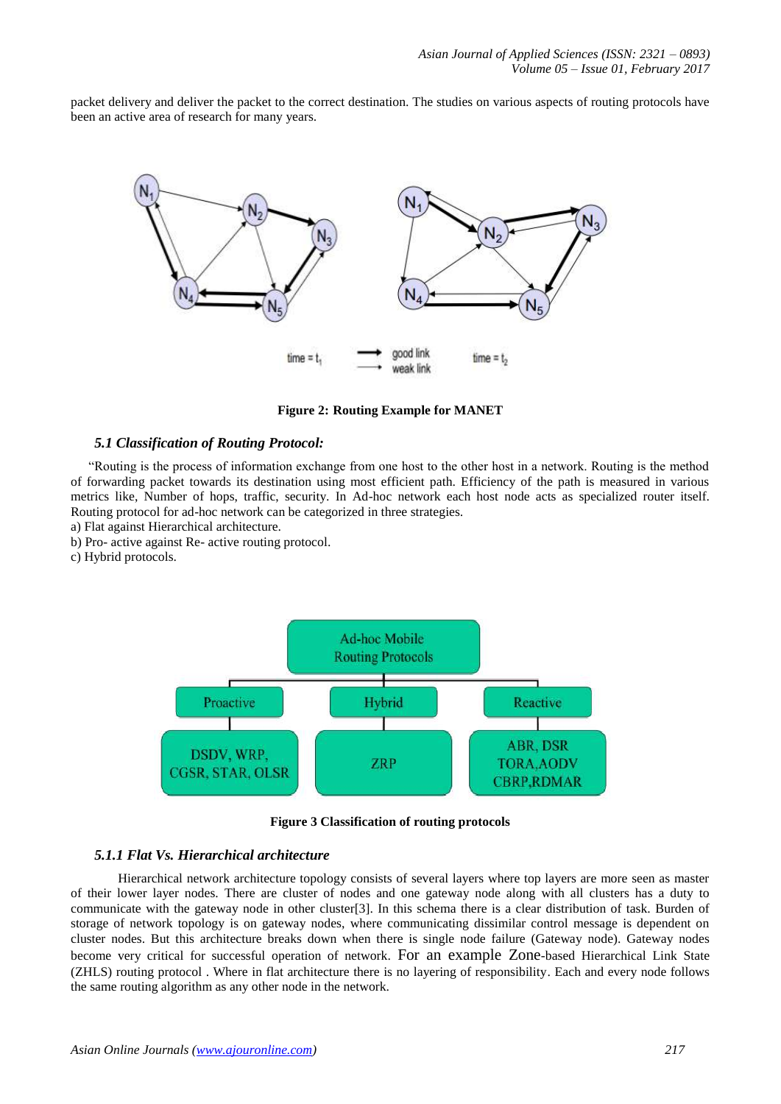packet delivery and deliver the packet to the correct destination. The studies on various aspects of routing protocols have been an active area of research for many years.



**Figure 2: Routing Example for MANET**

### *5.1 Classification of Routing Protocol:*

"Routing is the process of information exchange from one host to the other host in a network. Routing is the method of forwarding packet towards its destination using most efficient path. Efficiency of the path is measured in various metrics like, Number of hops, traffic, security. In Ad-hoc network each host node acts as specialized router itself. Routing protocol for ad-hoc network can be categorized in three strategies.

a) Flat against Hierarchical architecture.

- b) Pro- active against Re- active routing protocol.
- c) Hybrid protocols.



**Figure 3 Classification of routing protocols**

## *5.1.1 Flat Vs. Hierarchical architecture*

Hierarchical network architecture topology consists of several layers where top layers are more seen as master of their lower layer nodes. There are cluster of nodes and one gateway node along with all clusters has a duty to communicate with the gateway node in other cluster[3]. In this schema there is a clear distribution of task. Burden of storage of network topology is on gateway nodes, where communicating dissimilar control message is dependent on cluster nodes. But this architecture breaks down when there is single node failure (Gateway node). Gateway nodes become very critical for successful operation of network. For an example Zone-based Hierarchical Link State (ZHLS) routing protocol . Where in flat architecture there is no layering of responsibility. Each and every node follows the same routing algorithm as any other node in the network.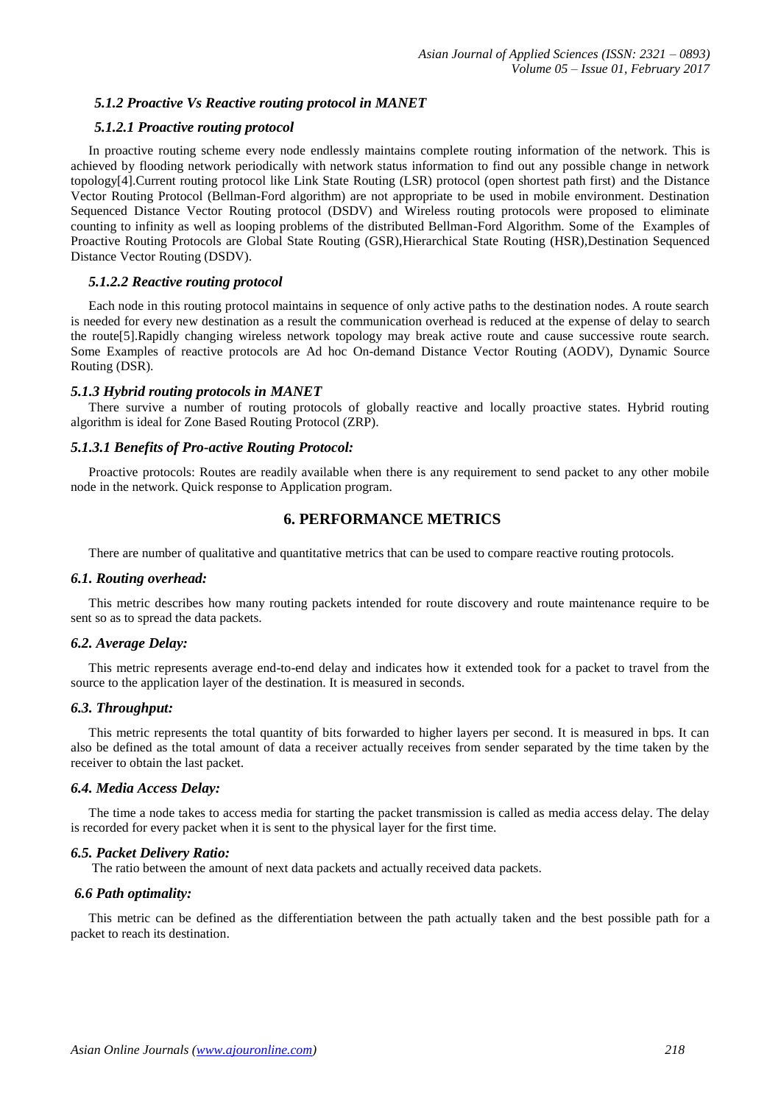## *5.1.2 Proactive Vs Reactive routing protocol in MANET*

## *5.1.2.1 Proactive routing protocol*

In proactive routing scheme every node endlessly maintains complete routing information of the network. This is achieved by flooding network periodically with network status information to find out any possible change in network topology[4].Current routing protocol like Link State Routing (LSR) protocol (open shortest path first) and the Distance Vector Routing Protocol (Bellman-Ford algorithm) are not appropriate to be used in mobile environment. Destination Sequenced Distance Vector Routing protocol (DSDV) and Wireless routing protocols were proposed to eliminate counting to infinity as well as looping problems of the distributed Bellman-Ford Algorithm. Some of the Examples of Proactive Routing Protocols are Global State Routing (GSR),Hierarchical State Routing (HSR),Destination Sequenced Distance Vector Routing (DSDV).

## *5.1.2.2 Reactive routing protocol*

Each node in this routing protocol maintains in sequence of only active paths to the destination nodes. A route search is needed for every new destination as a result the communication overhead is reduced at the expense of delay to search the route[5].Rapidly changing wireless network topology may break active route and cause successive route search. Some Examples of reactive protocols are Ad hoc On-demand Distance Vector Routing (AODV), Dynamic Source Routing (DSR).

#### *5.1.3 Hybrid routing protocols in MANET*

There survive a number of routing protocols of globally reactive and locally proactive states. Hybrid routing algorithm is ideal for Zone Based Routing Protocol (ZRP).

#### *5.1.3.1 Benefits of Pro-active Routing Protocol:*

Proactive protocols: Routes are readily available when there is any requirement to send packet to any other mobile node in the network. Quick response to Application program.

## **6. PERFORMANCE METRICS**

There are number of qualitative and quantitative metrics that can be used to compare reactive routing protocols.

#### *6.1. Routing overhead:*

This metric describes how many routing packets intended for route discovery and route maintenance require to be sent so as to spread the data packets.

#### *6.2. Average Delay:*

This metric represents average end-to-end delay and indicates how it extended took for a packet to travel from the source to the application layer of the destination. It is measured in seconds.

## *6.3. Throughput:*

This metric represents the total quantity of bits forwarded to higher layers per second. It is measured in bps. It can also be defined as the total amount of data a receiver actually receives from sender separated by the time taken by the receiver to obtain the last packet.

#### *6.4. Media Access Delay:*

The time a node takes to access media for starting the packet transmission is called as media access delay. The delay is recorded for every packet when it is sent to the physical layer for the first time.

## *6.5. Packet Delivery Ratio:*

The ratio between the amount of next data packets and actually received data packets.

#### *6.6 Path optimality:*

This metric can be defined as the differentiation between the path actually taken and the best possible path for a packet to reach its destination.